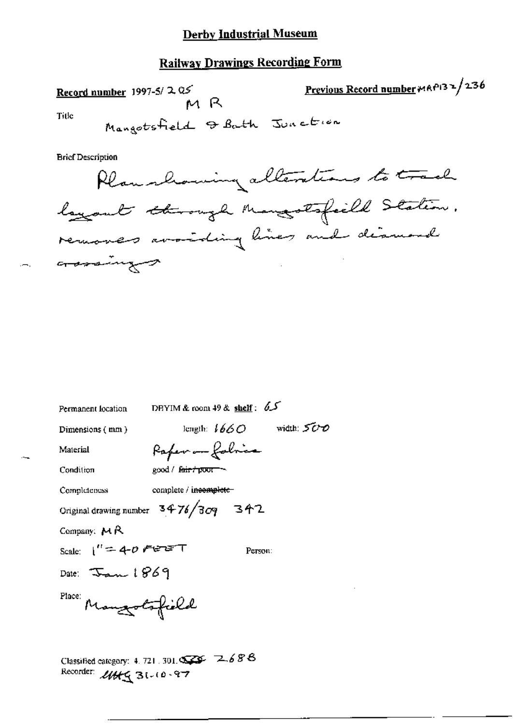### **Railway Drawings Recording Form**

Previous Record number #AP132/236 Record number 1997-5/ $2Q5$ MR Title Mangotsfield & Bath Junction

**Brief Description** 



| Permanent location                | DBYIM & room 49 & shelf: $65$                                                   |  |
|-----------------------------------|---------------------------------------------------------------------------------|--|
| Dimensions (mm)                   | length: $1660$ width: $500$                                                     |  |
| Material                          | Paper - folice                                                                  |  |
| Condition                         | good / fair / poor --                                                           |  |
| Completeness                      | complete / i <del>ncomplete -</del>                                             |  |
|                                   | Original drawing number $3476/309$ 342                                          |  |
| Company: $M R$                    |                                                                                 |  |
| Scale: $1'' = 4$ -0 FerenT        | Person:                                                                         |  |
| Date: $\tau_{\text{max}}$ t $869$ |                                                                                 |  |
| Place:<br>Mangolsfield            |                                                                                 |  |
|                                   | Classified category: 4, 721, 301, $\mathbb{Q}$ = $\mathbb{Z}$ 6 $\mathcal{B}$ B |  |

Recorder: 1449 31-10-97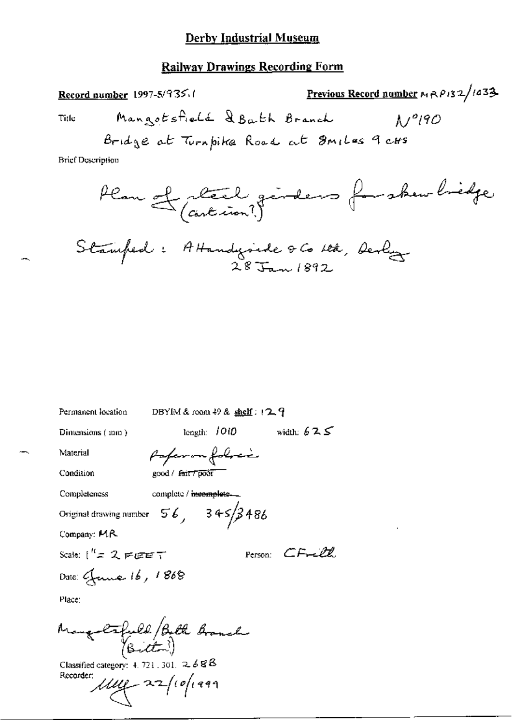## **Railway Drawings Recording Form**

Previous Record number  $M \wedge P$ 132/1433 Record number 1997-5/935.1 Mangotsfield & Bath Branch Title  $\Lambda$ / $9190$ Bridge at Turnpike Road at Smiles 9 cus **Brief Description** Plan et steel ginders forsker bidge

Stamfred: Although 
$$
38
$$
 Trm 1892

width:  $625$ length:  $1010$ Paperon folice Material Condition good / fair / poor Completeness complete / incomplete... Original drawing number  $56, 345/3486$ Company: MR Person: CF-22. Scale:  $1'' = 2$  regret Mangelsfuld / Bell Branch Classified category:  $4.721, 301, 2.688$ 1114 22/10/1999 Recorder:

DBYIM & room 49 & shelf: 129

Dimensions (mm)

Permanent location

Date: Grane 16, 1868

Place: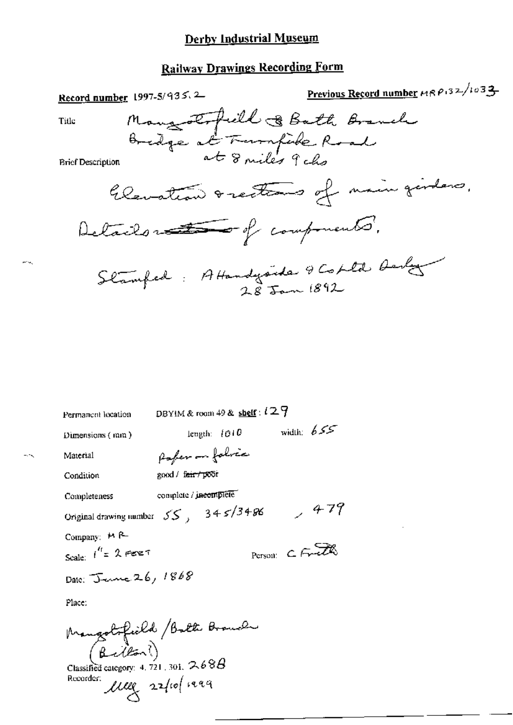# **Railway Drawings Recording Form**

Previous Record number MRP132/1033 Record number 1997-5/935.2 Mangolifield & Bath Branch Tille Bridge at Turnfield Road **Brief Description** Elevation orections of main girdens. Details retaining of components, Stamfed: Attendyside & Cohld Berly  $28$  Jan 1892

DBYIM & room 49 & shelf:  $129$ Permanent location width:  $655$ length:  $1010$  $Dimensions$  ( $ran$ ) Paper - folice Material good / fair / poor Condition complete / incomplete Completeness Original drawing number  $SS$ ,  $345/3486$ ,  $477$ Company: M R-Person:  $C$  function Scale:  $\int_0^{t_1} f(x) dx$  field if Date: June 26, 1868 Place: Mangoloficild / Bath Branch<br>(Bellon?)<br>Classified category: 4.721.301. 268B Recorder: lice 22/10/1229

Hrau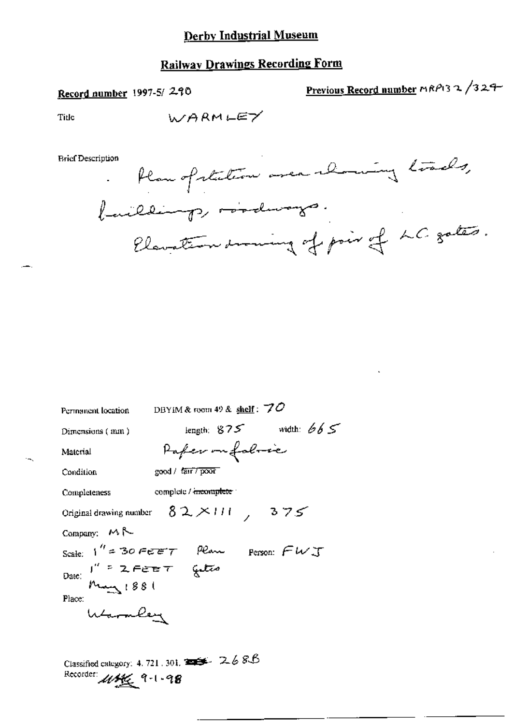# **Railway Drawings Recording Form**

## Record number 1997-5/270

Previous Record number mRP132/329-

Tide

**Brief Description** 



| Permanent location | DBYIM & room 49 & shelf: $70$                                                         |
|--------------------|---------------------------------------------------------------------------------------|
| Dimensions (mm)    | length; $875$ width: $665$                                                            |
| Material           | Paper on folose                                                                       |
| Condition          | good / क्षि <i>री</i> poor                                                            |
| Completeness       | complete / meomplete /                                                                |
|                    | Original drawing number $82 \times 111$ , $375$                                       |
| Company: $M \sim$  |                                                                                       |
|                    |                                                                                       |
|                    | Scale: $1'' = 30$ FEET Rear Ferson: $FWJ$<br>Date: $1'' = 2$ FEET getter<br>Many 1881 |
| Place:             |                                                                                       |
| Warnley            |                                                                                       |

Classified category: 4, 721, 301,  $\blacktriangleright$  26 88 Recorder 114 9-1-98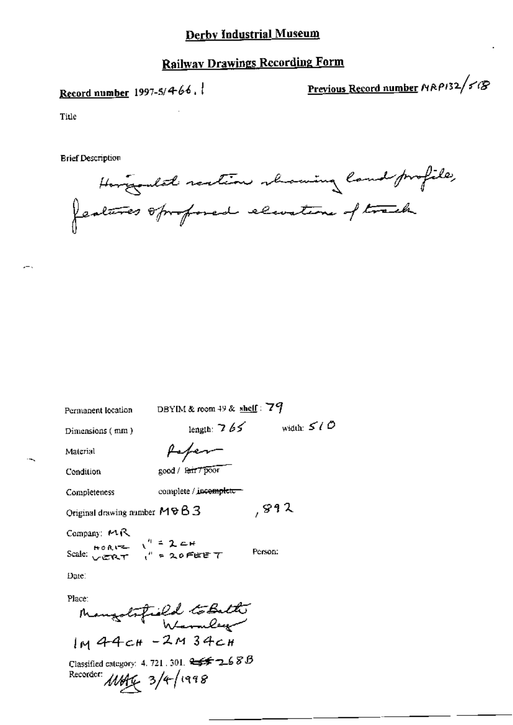# **Railway Drawings Recording Form**

# Record number 1997-5/4-66,

Previous Record number MRP132/518

Title

 $\sim$ 

 $\overline{\phantom{a}}$ 

**Brief Description** 

Horzoulat restion showing land profile, features oproposed elevation of track

| Permanent location                                                                                                                                                                                                                                   | DBYIM & room 49 & $\frac{\text{sheff}}{2}$ : 79                                               |              |
|------------------------------------------------------------------------------------------------------------------------------------------------------------------------------------------------------------------------------------------------------|-----------------------------------------------------------------------------------------------|--------------|
| Dimensions ( mm )                                                                                                                                                                                                                                    | length: $765$                                                                                 | width: $5/0$ |
| Material                                                                                                                                                                                                                                             | foper                                                                                         |              |
| Condition                                                                                                                                                                                                                                            | 200d / fan 7 poor                                                                             |              |
| Completeness                                                                                                                                                                                                                                         | complete / incomplete                                                                         |              |
| Original drawing number $\textsf{\textsf{MPB}}\, \textsf{3}$                                                                                                                                                                                         |                                                                                               | , 892        |
| Company: 四尺<br>Scale: $HOR12$ $\begin{pmatrix} 1 \\ 2 \end{pmatrix}$ = 2 $\begin{pmatrix} 1 \\ 2 \end{pmatrix}$ = 2 $\begin{pmatrix} 1 \\ 2 \end{pmatrix}$ = 2 $\begin{pmatrix} 1 \\ 2 \end{pmatrix}$ = 2 $\begin{pmatrix} 1 \\ 2 \end{pmatrix}$ = 7 |                                                                                               | Person:      |
| Date:                                                                                                                                                                                                                                                |                                                                                               |              |
| Place:<br>$IM44cH - 2M34cH$<br>Recorder:                                                                                                                                                                                                             | Mangolsfield to Bath<br>Classified category: 4, 721, 301, $4 \leq \leq 2.68B$<br>M4663/4/1998 |              |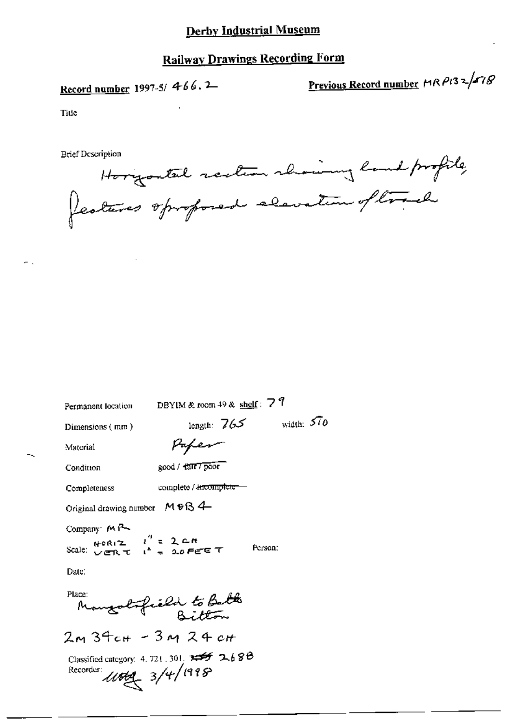# **Railway Drawings Recording Form**

# Record number 1997-5/ 4-66. 2

Previous Record number MR P13 2/078

Title

**Brief Description** 

Horzontal rection rhowing hand profile,

| Permanent location                                                                                     | DBYIM & room 49 & shelf: $79$                                  |              |
|--------------------------------------------------------------------------------------------------------|----------------------------------------------------------------|--------------|
| Dimensions (mm)                                                                                        | length: $765$                                                  | width: $570$ |
| Material                                                                                               | Hapen                                                          |              |
| Condition                                                                                              | sood / fair / poor                                             |              |
| Completeness                                                                                           | complete / <del>incomplete -</del>                             |              |
| Original drawing number $M \oplus B$ 4                                                                 |                                                                |              |
| Company $f \wedge f \sim$<br>Scale: $H^{\circ}$ RIZ $I'' = 2$ CH<br>Scale: $V$ energy $I'' = 2.0$ FEET |                                                                | Person:      |
| Date:                                                                                                  |                                                                |              |
| Place:                                                                                                 | Mangolofield to Bath                                           |              |
| 2м 34сн - 3м 24 сн                                                                                     |                                                                |              |
| Recorder:                                                                                              | Classified category: 4, 721, 301, x 5 2, 688<br>11069 3/4/1998 |              |

н.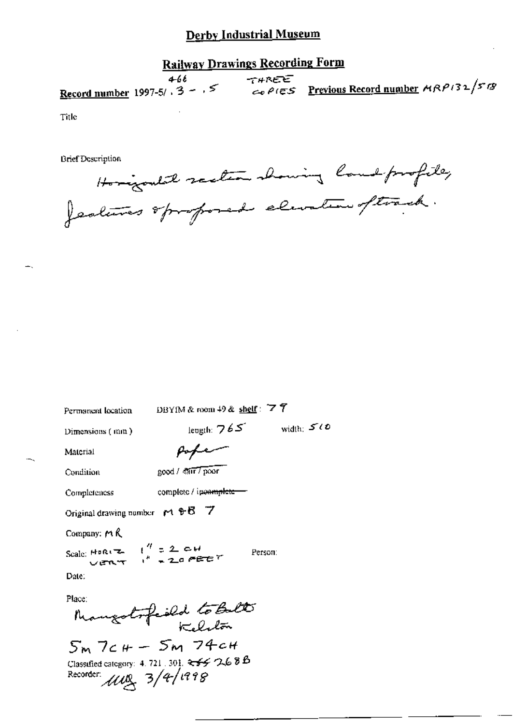#### **Railway Drawings Recording Form**  $4-66$ THREE Record number 1997-5/  $\overline{3}$  -  $\overline{5}$  -  $\overline{5}$  -  $\overline{5}$  -  $\overline{2}$  -  $\overline{6}$  -  $\overline{6}$  -  $\overline{2}$  -  $\overline{6}$  -  $\overline{2}$  -  $\overline{6}$  -  $\overline{2}$  -  $\overline{6}$  -  $\overline{2}$  -  $\overline{6}$  -  $\overline{2}$  -  $\overline{2}$  -  $\overline{6}$  -

Title

÷.

**Brief Description** 

Horizontal section showing land-profile,

| Permanent location                                                                  | DBYIM & room $49$ & shelf: $77$                                        |              |
|-------------------------------------------------------------------------------------|------------------------------------------------------------------------|--------------|
| Dimensions $($ mm $)$                                                               | leugth: $765$                                                          | width: $500$ |
| Material                                                                            | pope                                                                   |              |
| Condition                                                                           | good / dair / poor                                                     |              |
| Completeness                                                                        | complete / ipe <del>amplete-</del>                                     |              |
| Original drawing number $\uparrow$ + + $\uparrow$ 5                                 |                                                                        |              |
| Company: M R                                                                        |                                                                        |              |
| Scale: HORIZ $\begin{pmatrix} 4 & 2 & 0 & 1 \\ 1 & 2 & 0 & 1 \end{pmatrix}$<br>VERT | Person:                                                                |              |
| Date:                                                                               |                                                                        |              |
| Place:<br>$5m$ $7c$ $\mu$ $ 5m$ $74c$ $\mu$<br>Recorder: $\mu v_2$ 3/4/1998         | Mangotofield to Balt<br>Classified category: 4, 721, 301, $255$ 26 8 B |              |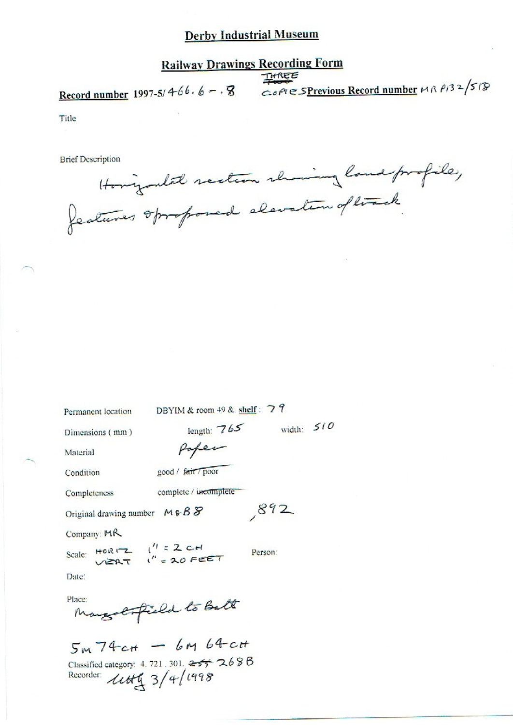# **Railway Drawings Recording Form** THREE

# Record number 1997-5/4-66.6 - . 8

COPIE SPrevious Record number MR P132/518

Title

**Brief Description** 

Hongsdat section showing land profile,

Permanent location

DBYIM & room 49 & shelf: 79

Dimensions (mm)

length:  $765$  width:  $510$ 

 $892$ 

Person:

Material

Condition

Completeness

complete / incomplete

Paper

good / fair / poor

Original drawing number  $M \oplus B S$ 

Company: MR

Scale:  $HOR17$   $\begin{array}{cc} & (1 & z & z & z & z \\ & & \searrow & z & z & z \\ & & & \searrow & z & z & z \end{array}$ 

Date:

Place: Margol Field to Batt

 $5m74cft - 6M64ct$ Classified category: 4.721.301. 255 269B Recorder: 1444 3/4/1998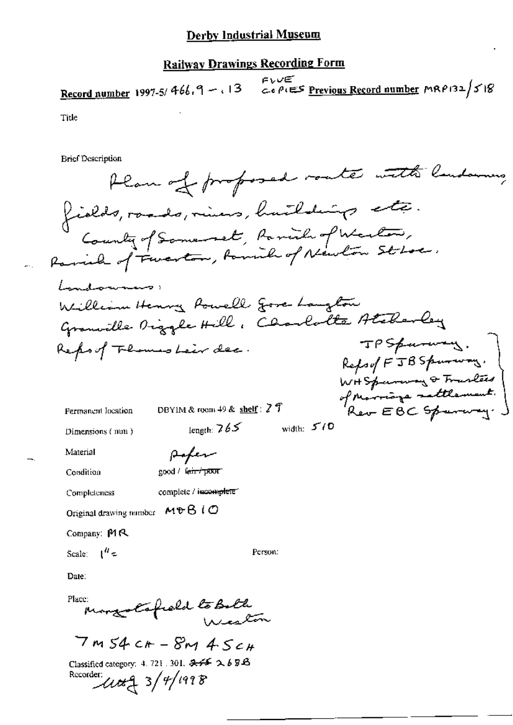## **Railway Drawings Recording Form**

FUVE COPIES Previous Record number MRP132/518 Record number 1997-5/ $466.9 - 13$ 

Tide

**Brief Description** 

Plan of proposed route with landaming fields, roads, mines, huilding etc. County of Somewest, Parish of Western, Landonnios: William Henry Rowell gove Laughow Gramville Diggle Hill, Charlotte Atelerley TPSpurancy. Report Flower Leir dec. Refsof FJBSpuring. WHSparning & Traslees<br>of Marriage rattlement.<br>Rev EBC Sparary. DBYIM & room  $49$  & shelf:  $27$ Permanent Incation width:  $5/0$ length:  $765$ Dimensions (mm) Material Asper Condition good / fe<del>ar / poor</del> complete / incomplete\* Completeness Original drawing number  $M \oplus B$  (  $O$ Company: MR Scale:  $1'' =$ Person: Date: Place: mongolafield to Both

 $7m54c+ - 8m445c+$ 

Classified category: 4, 721, 301, 255 269B Recorder: Utt 9 3/4/1998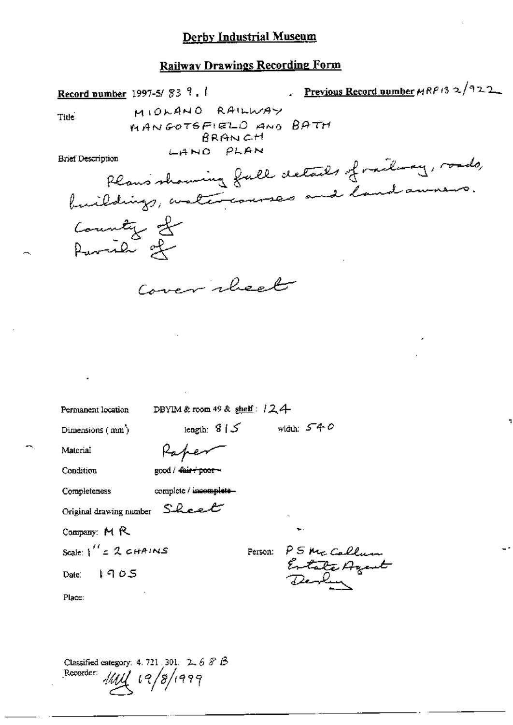## **Railway Drawings Recording Form**

**Previous Record number**  $MRP$  13 2/922 Record number 1997-5/83 9.1 MIONANO RAILWAY Tide MANGOTSFIELD AND BATH BRANCH LAND PLAN Plans showing full details of railway, roads, **Brief Description** buildings, waltercourses and land amour. County of Paril 25 Cover cheet DBYIM & room 49 & shelf: 124 Permanent location length:  $8/5$  width:  $540$ Dimensions  $(mn)$ Material Raper good / dair + poor -Condition complete / incomplete-Completeness Original drawing number Sheet Company: MR Scale:  $\int_{0}^{t} 2 \zeta dt$  attains PS Mc Collum<br>Entate Ayout Person:  $1905$ Date: Place:

Classified category: 4, 721, 301,  $2.68B$ Recorder:  $11/19/1999$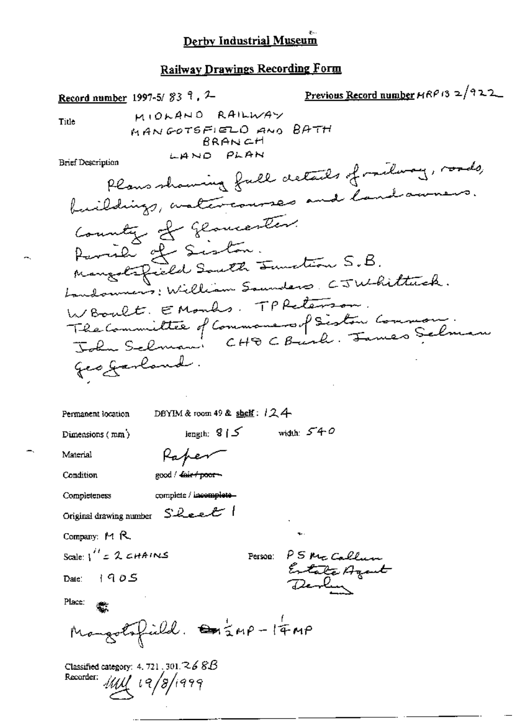Previous Record number  $HRPI32/922$ Record number 1997-5/83 9, 2 MIOLAND RAILWAY Title MANGOTSFIELD AND BATH BRANCH LAND PLAN Plans showing full details of railway, roads, **Brief Description** buildings, astercourses and land amers. County of Glomester. Paril 2 Siston. Mangols field South Sunction S.B. Landonmers: William Saunders. C.J.Whittuck. WBoult. EMonds. TPReterson. The Committee of Commoners of Siston Common.<br>John Schman: CHD C Burk. James Schman geographond. DBYIM & room 49 & shelf:  $124$ Permanent location length:  $\sqrt{3}$  |  $\leq$ width:  $540$ Dimensions (mm) Material Raper Condition good / <del>dair / poor -</del> complete / incomplete-Completeness Original drawing number Sheet Company: M R. Scale:  $1'' = 2$  chains PS Mc Callun Person: Entate Agent Date:  $1905$ Place: Mangolofield. Exterp-14MP Classified category: 4, 721, 301,  $268B$ Recorder:  $11/19/8/1999$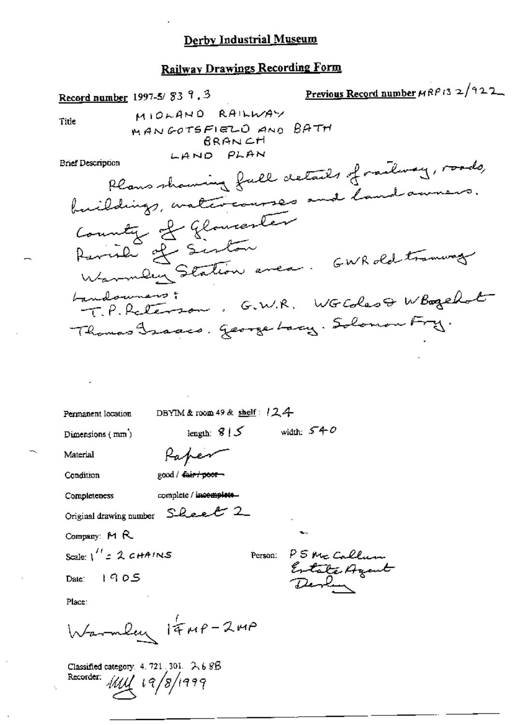Previous Record number MRP13 2/922 Record number 1997-5/839.3 MIOLANO RAILWAY Title MANGOTSFIELD AND BATH BRANCH LAND PLAN Plans showing full details of railway, roads, **Brief Description** buildings, watercourses and land anners. County of Glomenter Revise of Sister Warmley Station avec . GWR old tranway T.P. Reterson, G.W.R. WGColes & WBogelst Landowners: Thomas Francs. George Lacy. Solomon Fry. DBYIM & room 49 & shelf:  $124$ Permanent location length:  $9/5$ width:  $540$ Dimensions  $(mm)$ Paper Material good / fair / poor -Condition complete / incemplete. Completeness Original drawing number Sheet 2 Company: MR Scale:  $1''$  = 2  $CHAINS$ P5 Mc Callum Person: Entate Agent Date:  $1905$ Place: Warmley 1 & MP - 2MP Classified category. 4.721.301. A68B

Recorder:  $11/19/8/1999$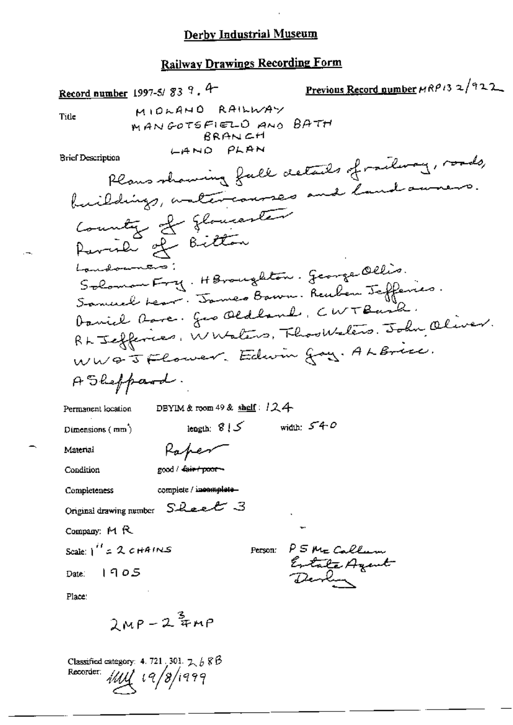#### **Railway Drawings Recording Form**

Previous Record number MRP132/922 Record number 1997-5/839.4-MIOLANO RAILWAY Title MANGOTEFIELD AND BATH BRANCH LAND PLAN Plans showing fall details of railway, roads, **Brief Description** buildings, antercourses and land owner Country of Gloucester Parish of Bitton Landowners Solomon Fry. HBroughton. George Ollis. Samuel Leav. James Baron. Reuben Jeffevies.<br>Daniel Barc. Geo Oldland, CWTBurk. RL Jefferices. Wutsters, ThosWelers. John Oliver. WWQ JFlower. Edwin gay. ALBrise. A Sheppard. DBYIM & room 49 & shelf:  $124$ Permanent location width:  $540$ length:  $815$ Dimensions (mm) Raper Material good / fair+poor~ Condition complete / incomplete-Completeness Original drawing number Sheet 3 Company:  $M \, R$ Scale:  $1'' = 2$  c HAINS PSMECallum Person: Extate Agent  $1905$ Date: Place:  $2MP - 2F + MP$ 

Classified category: 4, 721, 301,  $\mathbb{Z}$ ,  $\beta$ ,  $\beta$ ,  $\beta$ Recorder:  $\mathcal{U} \mathcal{U} \mathcal{U}$  19/8/1999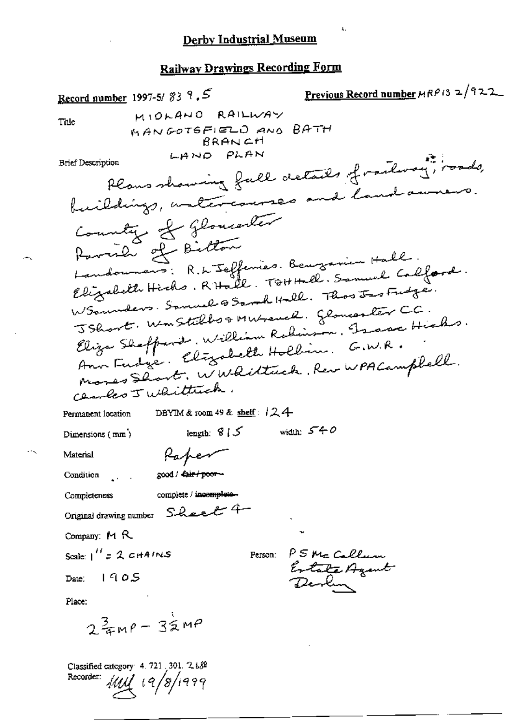Previous Record number HRP13 2/922 Record number 1997-5/839,5 MIOLAND RAILWAY Title MANGOTSFIELD AND BATH BRANCH flows showing full details of railway, roads, LAND PLAN **Brief Description** buildings, untercourses and land away Country of Gloucenter Parrill of Bitton Landoumers: R.L. Jefferries. Beurganien Hall.<br>Elizabeth Hicho. R.Hall. TOHHall. Samuel Calford. WSounders. Samuel @ Sarah Hall. Thos Instruge. JShort, unstelless Musical, glomarter CC. Eliza Shaffard, William Robinson, France Highs. Ann Fudge. Elizabeth Hollin. G.W.R. Mores Short, WW dittuck. Rev WPA Campbell. camber 5 waithech. DBYIM & room 49 & shelf: 124 Permanent location length:  $8/5$  width:  $540$ Dimensions (mm) Paper Material Condition ... good / Cair / poor -complete / incomplete. Completeness Original drawing number Sheet 4 Company: M R Scale:  $1'' = 2$  cHAINS PSMcCallum Person: Entate Agent  $1905$ Date: Place:  $2^{\frac{3}{4}mp - 3\frac{1}{4}mp}$ Classified category 4. 721 . 301. 2.689 Recorder:  $11/19/8/1999$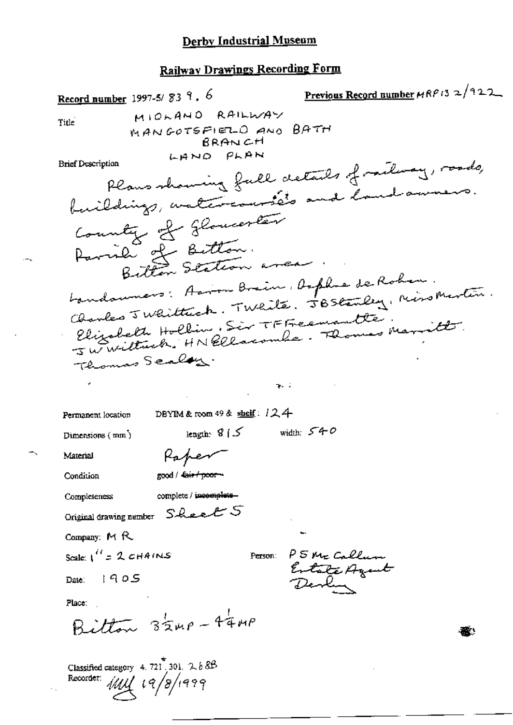Previous Record number  $MRP$  (3 2/922) Record number 1997-5/839.6 MIORANO RAILWAY Title MANGOTSFIELD AND BATH BRANCH LAND PLAN Plans showing full details of railway, roads, **Brief Description** buildings, activisations and land anners County of Gloucester Paris of Betton. bandonners: Aaron Brain: Oxphae de Roben.<br>Clarles 5 Whitteck. Tweite. JBStanley: Miss Martin. Elizabeth Holling Sir TFFreemantte.<br>Juristiach. HN Ellacombe. Thomas Marritt. Thomas Sealey. ن اليوم DBYIM & room 49 & shelf:  $124$ Permanent location length:  $\mathcal{G}$  |  $\mathcal{S}$ width:  $540$ Dimensions  $(mn)$ Raper Material good / Cair / poor -Condition complete / incomplete-Completeness Original drawing number Sheet S Company: MR Scale:  $1^{H} = 2 \text{ GHz}$  MS PSMECallum Person: Entreta Agent Date: 1905 Place: Bitton 33MP-44MP Classified category 4. 721, 301.  $2.68B$ Recorder:  $11/19/1999$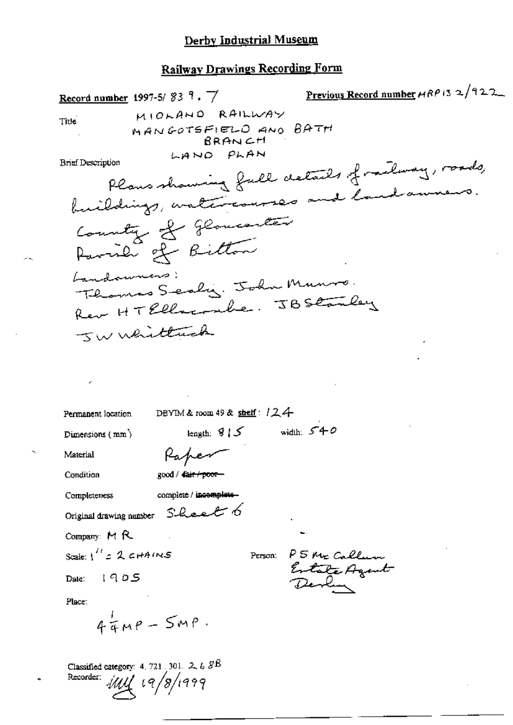# **Railway Drawings Recording Form**

| Record number 1997-5/83 9. $\frac{7}{7}$                 | Previous Record number HRP 13 2/922           |
|----------------------------------------------------------|-----------------------------------------------|
| MIOLANO RAILWAY<br>Tiue                                  |                                               |
| MANGOTSFIELD AND BATH<br>BRANCH                          |                                               |
| LAND PLAN<br><b>Brief Description</b>                    |                                               |
|                                                          | Plans showing full details of railway, roads, |
| buildings, watercourses and land anne                    |                                               |
| Country of Gloricanter                                   |                                               |
| Parish of Bitton                                         |                                               |
|                                                          |                                               |
| Landaumens:<br>Thomas Scalig. John Munro.                |                                               |
| Rev HT Ellscombe. JBSEanley                              |                                               |
| Jw naitheach                                             |                                               |
|                                                          |                                               |
|                                                          |                                               |
|                                                          |                                               |
| DBYIM & room 49 & shelf : $124$<br>Permanent location    |                                               |
| ك! length: كا<br>Dimensions $(mn)$                       | width: $540$                                  |
| Rahen<br>Material                                        |                                               |
| Condition<br>good / cair / poor-                         |                                               |
| complete / incomplete.<br>Completeness                   |                                               |
| Original drawing number $S$ -Lee+ 6                      |                                               |
| Company: $M R$                                           |                                               |
| Scale: $1'' \approx 2$ CHAINS                            | Person: P5 Mc Callum<br>Entate Agent          |
| 1905<br>Date:                                            |                                               |
| Place:                                                   |                                               |
| $44\pi$ MP - $5MP$ .                                     |                                               |
|                                                          |                                               |
| Classified category: 4, 721, 301, 2, 4, $\overline{S}$ B |                                               |

Classified category: 4.721.501.001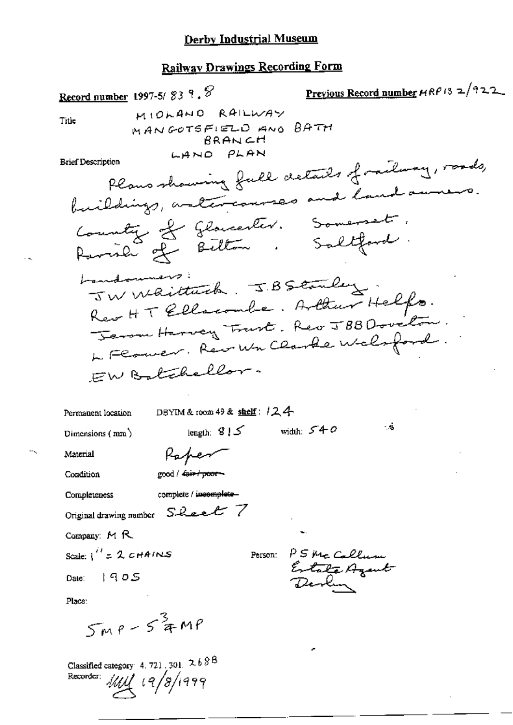Previous Record number HRP13 2/922 Record number 1997-5/839.8 MIOLAND RAILWAY Title MANGOTSFIELD AND BATH BRANCH LAND PLAN Plans showing full details of railway, roads, **Brief Description** buildings, antercourses and land anners. County of Glacenter. Somerset. Parrill of Bilton. Saltford boundaries : JW Waittuck. JBStanley Rew HT Ellscombe. Arthur Helfs. Jerom Harvey Trust. Rev JBBDovelow. LESmer. Reir Wir Clarke Willaford. EW Batchellor. DBYIM & room 49 & shelf: 124 Permanent location  $\sim 2$ width:  $540$ length:  $3!5$ Dimensions  $(mn)$ Raper Material good / daier poor-Condition complete / incomplete-Completeness Original drawing number Sheet 7 Company:  $M$   $R$ Scale:  $1''$  = 2  $CHAINS$ PSMcCollum Person: Entate Agent  $1905$ Date∶ Place:  $5mp-54mp$ Classified category 4, 721, 301,  $2.688$ Recorder:  $\frac{d}{d\mu}$  19/8/1999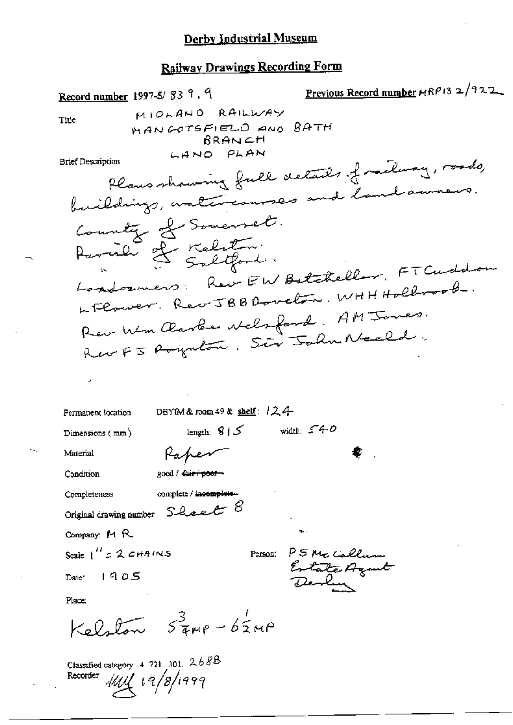Previous Record number  $HRP$ 13 2/922 Record number 1997-5/839.9 MIOLAND RAILWAY Tide MANGOTSFIELD AND BATH  $\beta$ RAN $\in$ H LAND PLAN Plans showing full details of railway, roads, **Brief Description** buildings, watercourses and land awne County of Somerset. Parise of Kelston. Landowners: Rein EW Batcheller, FT Cuddon LFCower. Rev JBBDovelow. WHH Hollorook. Rev Wm Clarke Wilsford. AM Jones. Rev F 5 Royalon, Sir Jahn Neeld. DBYIM & room 49 & shelf:  $124$ Permanent location width:  $540$ length:  $S \mid S$ Dimensions (mm) Raper Material good / cair / poor -Condition Completeness complete / incomplete... Shoet 8 Original drawing number Company:  $M$   $R$ Scale:  $1''$  = 2  $CHAINS$ PSMcCollum Person: Entate Agent  $1905$ Date: Place: Kelston  $5\frac{3}{4}$ up -  $5\frac{1}{2}$ up Classified category: 4, 721, 301,  $2.68B$ Recorder:  $\mathcal{U}\mathcal{U}\mathcal{U}$  19/8/1999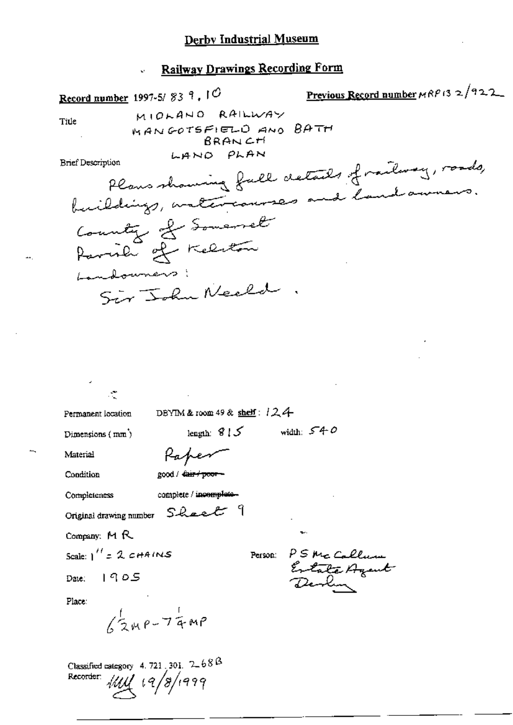#### Railway Drawings Recording Form  $\mathbf{v}^{\mathrm{r}}$

Previous Record number MRP 13 2/922 Record number 1997-5/83 9, 10 MIOLAND RAILWAY Title MANGOTSFIELD AND BATH **BRANCH** LAND PLAN Plans showing full details of mailway, roads, Brief Description buildings, watercourses and land awners. Country of Somerset Parish of Keleton Landouners: Sir John Neeld

С. DBYIM & room 49 & shelf: 124 Permanent location length:  $915$ width:  $540$ Dimensions  $(mn)$ Paper Material Condition good / Cair+poor-Completeness complete / incomplete. Sheet 9 Original drawing number Company: MR PS McCollum<br>Entate Agent<br>Denlin Scale:  $1'' = 2$  cHAINS Person:  $1905$ Date: Place:  $\frac{1}{2}MP-7$   $4MP$ Classified category 4, 721, 301,  $2-68B$ 

Recorder:  $111/19/1999$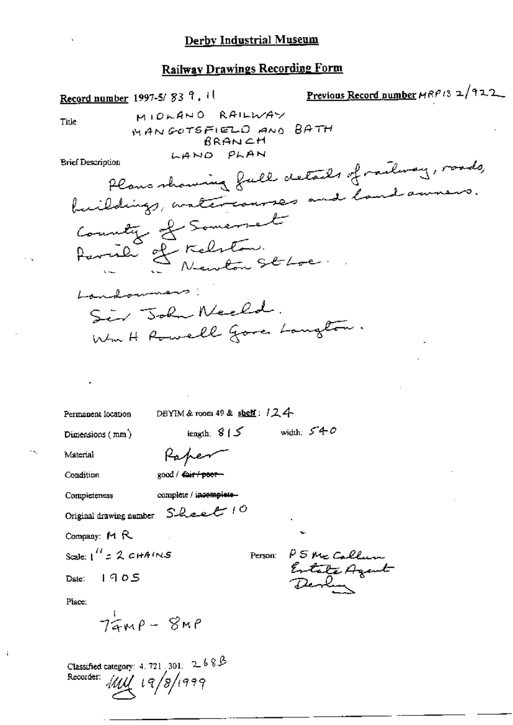Previous Record number MRP13 2/922 Record number 1997-5/839, 11 MIOLAND RAILWAY Title MANGOTSFIELD AND BATH BRANCH LAND PLAN Plans showing full details of railway, roads, **Brief Description** buildings, watercourses and land ammens. Country of Somement Parish of Kelston.<br>La Newton St Loe. Landowners: Sir John Neeld. Wm H Rowell Gore Langton. DBYIM & room 49 & shell: 124 Permanent location iength:  $8/5$ width:  $540$ Dimensions (mm) Raper Material Condition good / Cair / poorcomplete / incomplete-Completeness Original drawing number Sheet 10 Company: MR Scale:  $1''$  = 2 c HAINS PSMECallum Person: Entate Agent  $1905$ Date: Place:  $7\pi M\rho - 8MP$ Classified category: 4, 721, 301,  $268B$ 

Recorder: *illul* 19/8/1999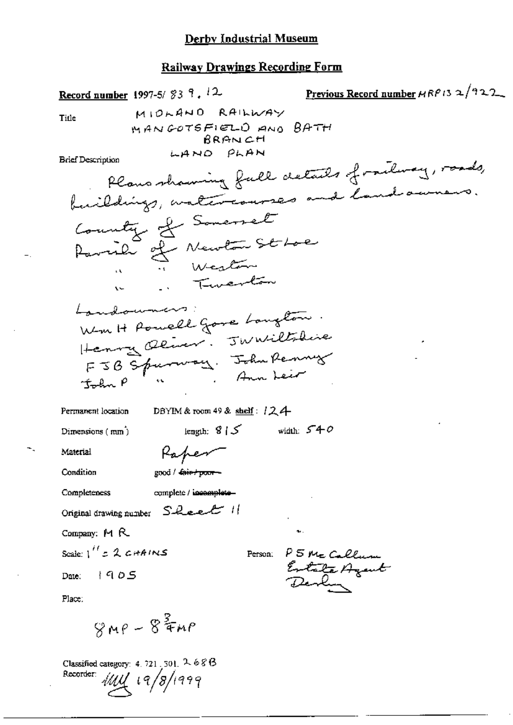Previous Record number HRP 13 2/922 Record number 1997-5/839.12 MIDLAND RAILWAY Title MANGOTSFIELD AND BATH  $BRAMCH$ LAND PLAN **Brief Description** Plans showing full details of railway, roads, buildings, watercourses and land ammens. Country of Somerset Paris de Newton Stroe Twent  $\ddot{\phantom{1}}$ Laudoumers: Wm It Powell Gove Longton. Henry Oliver. Juriltalise DBYIM & room 49 & shelf:  $124$ Permanent location length:  $8/5$  width:  $540$ Dimensions  $(mn)$ Raper Material Condition good / Cair+poor-Completeness complete / incomplete Original drawing number Sheet 11 Company:  $M$   $R$ Scale:  $1''$  = 2  $CHAINS$ P5 Mc Callum Person. Entate Agent  $1905$ Date: Place:  $8me-8\frac{3}{4}me$ Classified category: 4. 721, 501,  $2.68B$ Recorder:  $\mathcal{U}\mathcal{U}\mathcal{U}$  19/8/1999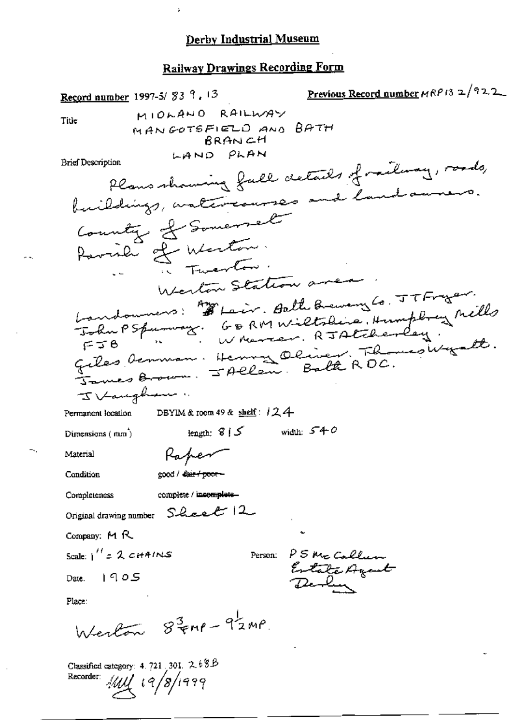Previous Record number HRP13 2/922 Record number 1997-5/83 9, 13 MIOLAND RAILWAY Title MANGOTSFIELD AND BATH BRANCH LAND PLAN Plans showing full details of railway, roads, **Brief Description** buildings, anteriouses and land awners. County of Somerset Parish 25 Marton. Werton Station area Landonners: 2 Lair. Bath Beweng Co. JTFryar. John PSpummy. GBRMWiltsline, Humphrey Mills<br>FJB Remman. Whencer. RJAtcherlay.<br>Giles Remman. Henry Oliver. Thomas Wyatt. JVaughan. DBYIM & room 49 & shelf:  $124$ Permanent location length:  $815$  width:  $540$ Dimensions (mm<sup>3</sup>) Raper Material Condition good / dair / poorcomplete / incomplete-Completeness Original drawing number Sheet 12 Company: MR PSMcCollum Scale:  $1'' = 2$  cHAINS Person: Entate Agent<br>Denhu  $1905$ Date. Place: Weston 83 pmp - 92MP Classified category: 4.721.301. 2.68B

Recorder:  $11/19/8/1999$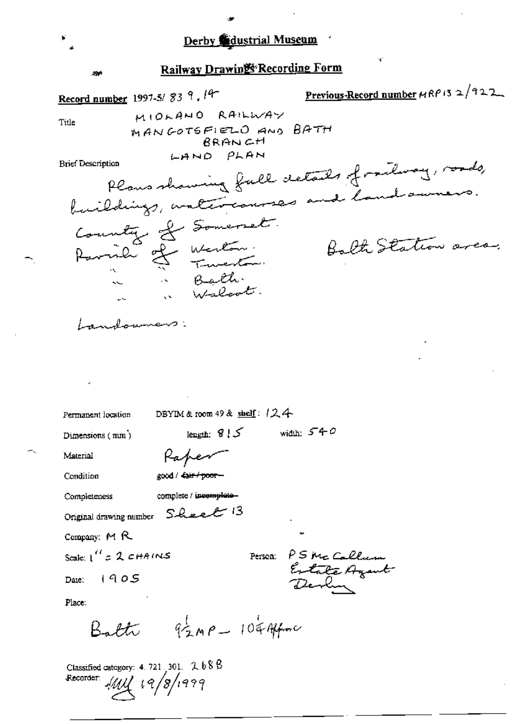# Railway Drawings Recording Form

Previous-Record number  $MRP$ 13 2/922 Record number 1997-5/839, 14-MIOLANO RAILWAY Title MANGOTSFIELD AND BATH BRANCH LAND PLAN Plans showing full details of railway, roads, **Brief Description** buildings, watercourses and land owners. Country of Someret. Balti Station area. Parril 2 Marton Jakobal 200 Landowners: DBYIM & room 49 & shelf:  $124$ Permanent location length:  $915$ width:  $540$ Dimensions  $(mn)$ Material Paper Condition good / <del>Cair / poor -</del> Completeness complete / incomplete-Original drawing number Sheet 13 Company: MR PS Mc Callum Scale:  $1^{11}$  = 2 = HAINS Person: Estate Agent  $1905$ Date: Place: Batte 92MP - 104April

Classified category: 4. 721, 301.  $268B$ Recorder: 1414 19/8/1999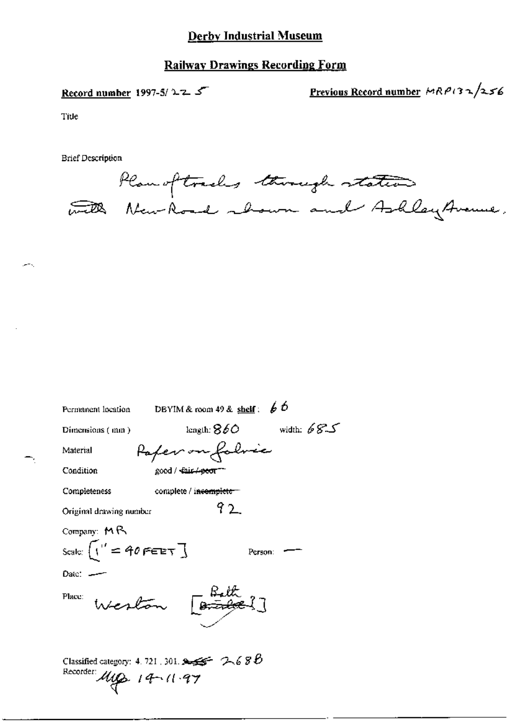## **Railway Drawings Recording Form**

### Record number 1997-5/225

Previous Record number  $MRP(32/256)$ 

Title

 $-1$ 

**Brief Description** 

Plan of tracks through states

| DBYIM & room 49 & shelf: $\oint$ $\oint$<br>Permanent location                                                           |  |  |
|--------------------------------------------------------------------------------------------------------------------------|--|--|
| width: $68.5$<br>length: $860\,$<br>Dimensions (mm)                                                                      |  |  |
| Paper on folvic<br>Material                                                                                              |  |  |
| Condition<br><u>200d / Файс Аввот"</u>                                                                                   |  |  |
| Completeness<br>complete / i <del>ncomplete =</del>                                                                      |  |  |
| 92<br>Original drawing number                                                                                            |  |  |
| Company: MR                                                                                                              |  |  |
| Scale: $\left(1'' = 40$ FEET $\right)$<br>Person:                                                                        |  |  |
| Date: .                                                                                                                  |  |  |
| $\begin{bmatrix} \frac{B+L}{B+L} \end{bmatrix}$<br>veston<br>Place:                                                      |  |  |
| Classified category: 4, 721, 301, $\rightarrow$ 5 $\rightarrow$ 6 8 $\beta$<br>Recorder:<br>$\mu_{\mathcal{P}}$ 14-11.97 |  |  |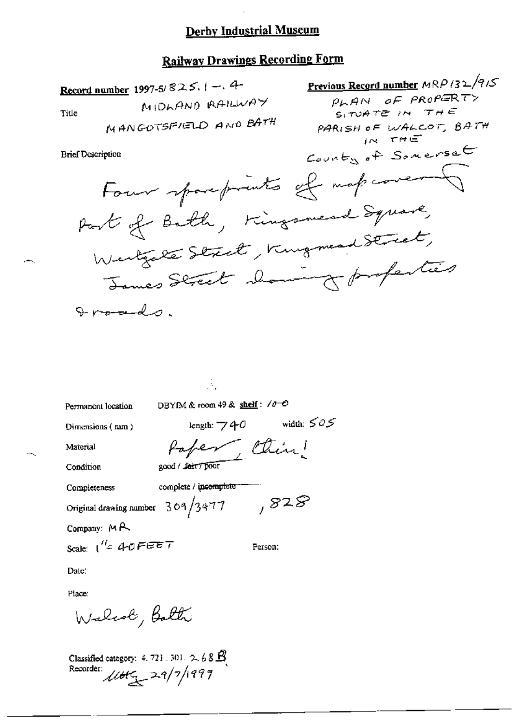# **Railway Drawings Recording Form**

Record number 1997-5/ $82.5.1 - .4$ MIDLAND RAILWA Title MANGOTSFIELD AND B

**Brief Description** 

Iroundo.

Permanent location

DBYIM & room 49 & shelf: /0-0

Â.

Dimensions (nm)

Material

щ.

Condition

Paper Chin!

Completeness

complete / incomplete -

Original drawing number  $309/3477$  ,  $828$ 

Company: MA

Scale:  $1^{H_{\phi}}$  40FEET

Person:

length:  $\neg$  40 width:  $\angle 0 \angle$ 

Date:

Place:

Walcol, Bath

Classified category: 4.721.301. 2.68 B.<br>Recorder:  $\sqrt{16t} = 2.9/7/1997$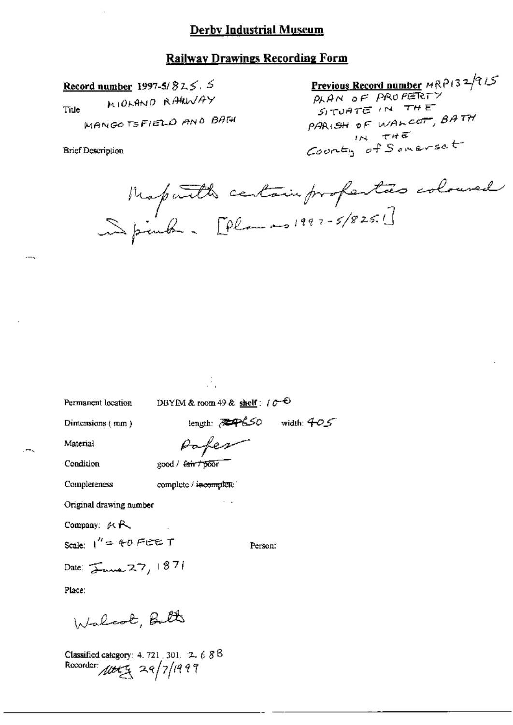#### **Railway Drawings Recording Form**

Record number 1997-5/ $825.5$ 

MIOLAND RAWVAY Title MANGO TSFIELD AND BATH

**Brief Description** 

**Previous Record number**  $MRPI32/715$ PLAN OF PROPERTY SITUATE IN THE PARISH OF WALCOT, BATH IN THE

Maparethe centain profectão coloured

Permanent location

DBYIM & room 49 & shelf:  $10^{-6}$ 

Dimensions (mm)

length:  $\mathcal{Z}$   $\mathcal{Z}$   $\mathcal{Z}$   $\mathcal{S}$  width:  $405$ Paper

Condition

Material

good / fair / poor

Completeness complete / incomplete

Original drawing number

Company:  $M \mathcal{R}$ 

Scale:  $1'' = 40$  Fere T

Person:

Date:  $\sum_{w \in \mathbb{Z}} 27, 1871$ 

Place:

Walcot, Butts

**Classified category:** 4.721, 301.  $2.688$ Recorder  $\mu$ tty 29/7/1997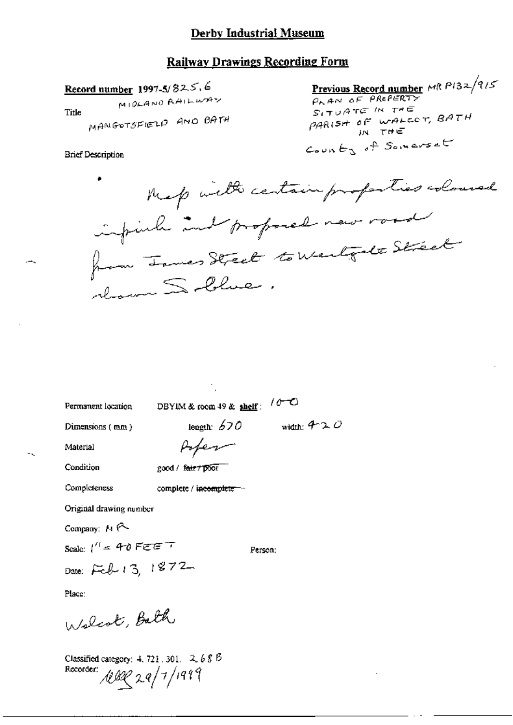#### **Railway Drawings Recording Form**

Record number 1997-5/825.6 MIDLAND RAILWAY Title MANGOTSFIELD AND BATH

**Brief Description** 

**Previous Record number** MR P132/915 SITUATE IN THE PARISH OF WALCOT, BATH Country of Somerset

Mep with certain properties coloured impiech ind proposed new road from Towner Street to Westgate Street almont Soldwer.

width:  $4.2$ 

| Permanent location |
|--------------------|
|--------------------|

DBYIM & room 49 & shelf:  $(0 - C)$ 

Dimensions (mm)

length:  $670$ Arter

Condition

Material

good / fair / poor

Completeness complete / incomplete --

Original drawing number

Company:  $M \rightarrow$ 

Scale:  $1'' = 40$  Fere  $T$ 

Person:

Date: Feb 13, 1872

Place:

Walcot, Bath

Classified category: 4, 721, 301,  $2.68B$ Recorder: 1882 29/7/1999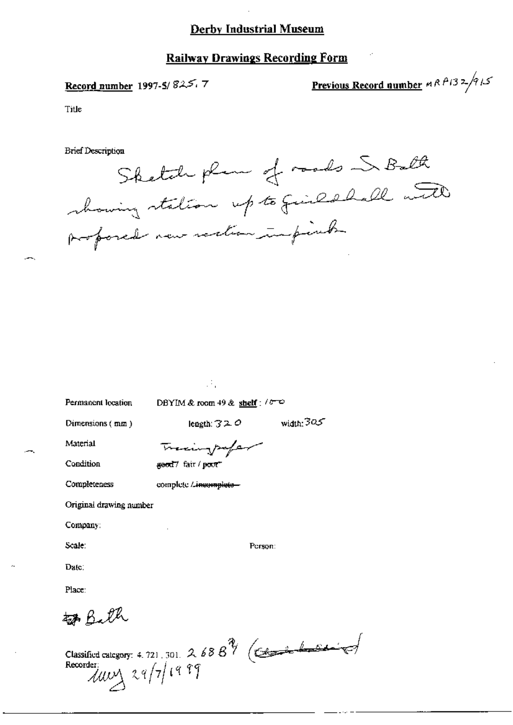#### **Railway Drawings Recording Form**

### Record number 1997-5/825, 7

**Previous Record number**  $nRP/32/915$ 

Title

**Brief Description** 

Shetch plan of roads S. Balk channing station up to quicklable with proposed now rection impirite

Permanent location

DBYIM & room 49 & shelf: / 0

τĖ,

Dimensions (mm)

length:  $320$  width:  $305$ 

Person:

Material

Tracingrafer geed7 fair / poor

Condition

Completeness

complete Lineomplete-

Original drawing number

Company:

Scale:

Date:

Place:

to Bell

Classified category: 4.721.301. 2688<sup>7</sup> (Colored Landislating)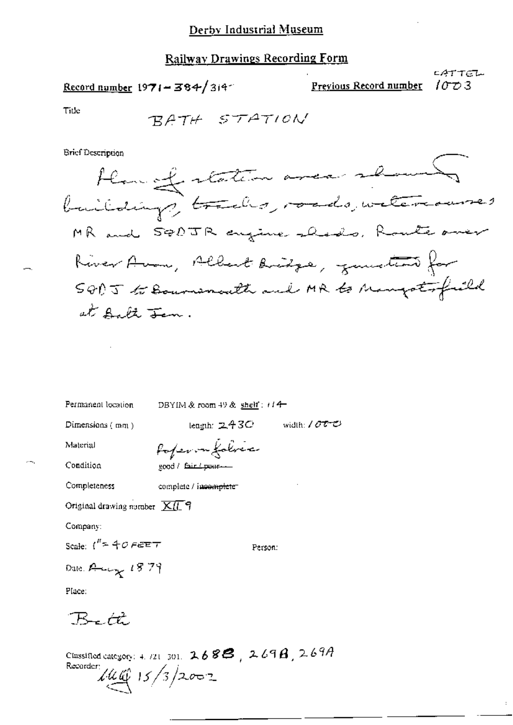Previous Record number

 $CATTET$  $10D3$ 

 $\cdot$ 

Title

**Brief Description** 

| Permanent location                          | DBYIM & room 49 & shelf: $114$               |
|---------------------------------------------|----------------------------------------------|
| Dimensions $(mn)$                           | length: $\mathbf{243}$ C $-$<br>width: / ぴぴぴ |
| Material                                    | Poper infolice                               |
| Condition                                   | good / fair / pour --                        |
| Completeness                                | complete / incomplete=                       |
| Original drawing number $\overline{X}$ [[9] |                                              |
| Company:                                    |                                              |
| Scale: $1'' = 40$ FEET                      | Person:                                      |
| Date: $A - \epsilon_{\gamma}$ 1879          |                                              |
| Place:                                      |                                              |
| Be tit                                      |                                              |

Classified category: 4. /21. 301.  $2688$ ,  $2698$ ,  $2697$ Recorder  $1440/3/2002$